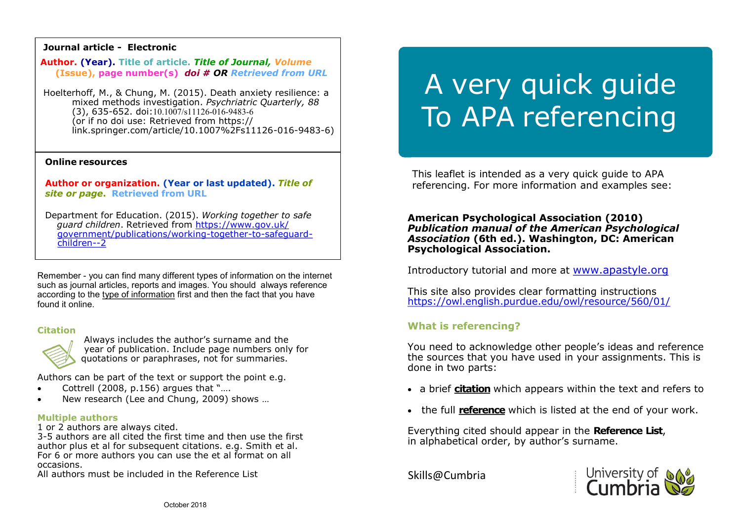# **Journal article - Electronic**

**Author. (Year). Title of article.** *Title of Journal, Volume* **(Issue), page number(s)** *doi # OR Retrieved from URL*

Hoelterhoff, M., & Chung, M. (2015). Death anxiety resilience: a mixed methods investigation. *Psychriatric Quarterly, 88*  $(3)$ , 635-652. doi:10.1007/s11126-016-9483-6 (or if no doi use: Retrieved from https:// link.springer.com/article/10.1007%2Fs11126-016-9483-6)

## **Online resources**

**Author or organization. (Year or last updated).** *Title of site or page***. Retrieved from URL**

Department for Education. (2015). *Working together to safe guard children*. Retrieved from [https://www.gov.uk/](https://www.gov.uk/government/publications/working-together-to-safeguard-children--2)  [government/publications/working](https://www.gov.uk/government/publications/working-together-to-safeguard-children--2)-together-to-safeguard  [children](https://www.gov.uk/government/publications/working-together-to-safeguard-children--2)--2

Remember - you can find many different types of information on the internet such as journal articles, reports and images. You should always reference according to the type of information first and then the fact that you have found it online.

## **Citation**



Always includes the author's surname and the year of publication. Include page numbers only for quotations or paraphrases, not for summaries.

Authors can be part of the text or support the point e.g.

- Cottrell (2008, p.156) argues that "….
- New research (Lee and Chung, 2009) shows …

## **Multiple authors**

1 or 2 authors are always cited.

3-5 authors are all cited the first time and then use the first author plus et al for subsequent citations. e.g. Smith et al. For 6 or more authors you can use the et al format on all occasions.

All authors must be included in the Reference List

# A very quick guide To APA referencing

This leaflet is intended as a very quick guide to APA referencing. For more information and examples see:

# **American Psychological Association (2010)**  *Publication manual of the American Psychological Association* **(6th ed.). Washington, DC: American Psychological Association.**

Introductory tutorial and more at [www.apastyle.org](http://www.apastyle.org/) 

This site also provides clear formatting instructions <https://owl.english.purdue.edu/owl/resource/560/01/>

# **What is referencing?**

You need to acknowledge other people's ideas and reference the sources that you have used in your assignments. This is done in two parts:

- a brief **citation** which appears within the text and refers to
- the full **reference** which is listed at the end of your work.

Everything cited should appear in the **Reference List**, in alphabetical order, by author's surname.

Skills@Cumbria